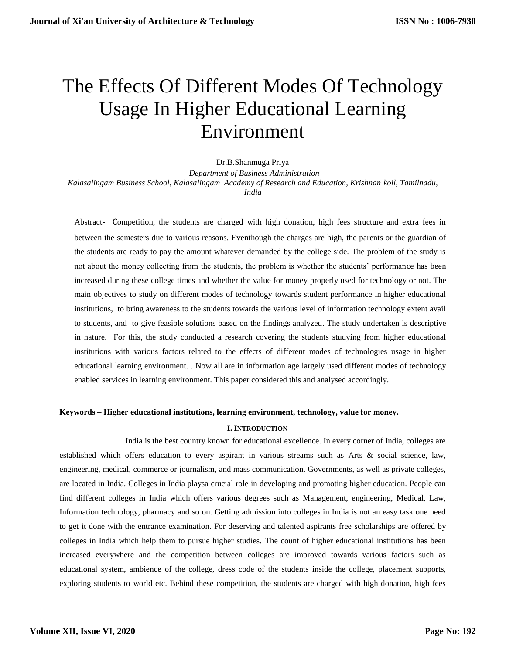# The Effects Of Different Modes Of Technology Usage In Higher Educational Learning Environment

Dr.B.Shanmuga Priya

 *Department of Business Administration Kalasalingam Business School, Kalasalingam Academy of Research and Education, Krishnan koil, Tamilnadu, India*

Abstract- Competition, the students are charged with high donation, high fees structure and extra fees in between the semesters due to various reasons. Eventhough the charges are high, the parents or the guardian of the students are ready to pay the amount whatever demanded by the college side. The problem of the study is not about the money collecting from the students, the problem is whether the students' performance has been increased during these college times and whether the value for money properly used for technology or not. The main objectives to study on different modes of technology towards student performance in higher educational institutions, to bring awareness to the students towards the various level of information technology extent avail to students, and to give feasible solutions based on the findings analyzed. The study undertaken is descriptive in nature. For this, the study conducted a research covering the students studying from higher educational institutions with various factors related to the effects of different modes of technologies usage in higher educational learning environment. . Now all are in information age largely used different modes of technology enabled services in learning environment. This paper considered this and analysed accordingly.

## **Keywords – Higher educational institutions, learning environment, technology, value for money.**

# **I. INTRODUCTION**

 India is the best country known for educational excellence. In every corner of India, colleges are established which offers education to every aspirant in various streams such as Arts & social science, law, engineering, medical, commerce or journalism, and mass communication. Governments, as well as private colleges, are located in India. Colleges in India playsa crucial role in developing and promoting higher education. People can find different colleges in India which offers various degrees such as Management, engineering, Medical, Law, Information technology, pharmacy and so on. Getting admission into colleges in India is not an easy task one need to get it done with the entrance examination. For deserving and talented aspirants free scholarships are offered by colleges in India which help them to pursue higher studies. The count of higher educational institutions has been increased everywhere and the competition between colleges are improved towards various factors such as educational system, ambience of the college, dress code of the students inside the college, placement supports, exploring students to world etc. Behind these competition, the students are charged with high donation, high fees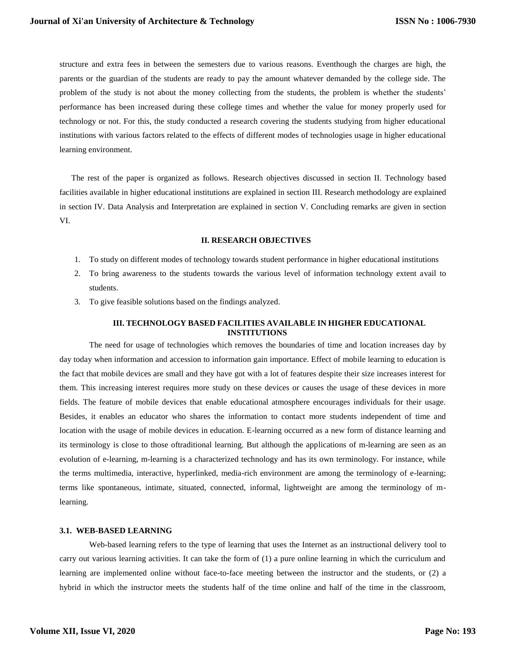structure and extra fees in between the semesters due to various reasons. Eventhough the charges are high, the parents or the guardian of the students are ready to pay the amount whatever demanded by the college side. The problem of the study is not about the money collecting from the students, the problem is whether the students' performance has been increased during these college times and whether the value for money properly used for technology or not. For this, the study conducted a research covering the students studying from higher educational institutions with various factors related to the effects of different modes of technologies usage in higher educational learning environment.

The rest of the paper is organized as follows. Research objectives discussed in section II. Technology based facilities available in higher educational institutions are explained in section III. Research methodology are explained in section IV. Data Analysis and Interpretation are explained in section V. Concluding remarks are given in section VI.

## **II. RESEARCH OBJECTIVES**

- 1. To study on different modes of technology towards student performance in higher educational institutions
- 2. To bring awareness to the students towards the various level of information technology extent avail to students.
- 3. To give feasible solutions based on the findings analyzed.

# **III. TECHNOLOGY BASED FACILITIES AVAILABLE IN HIGHER EDUCATIONAL INSTITUTIONS**

The need for usage of technologies which removes the boundaries of time and location increases day by day today when information and accession to information gain importance. Effect of mobile learning to education is the fact that mobile devices are small and they have got with a lot of features despite their size increases interest for them. This increasing interest requires more study on these devices or causes the usage of these devices in more fields. The feature of mobile devices that enable educational atmosphere encourages individuals for their usage. Besides, it enables an educator who shares the information to contact more students independent of time and location with the usage of mobile devices in education. E-learning occurred as a new form of distance learning and its terminology is close to those oftraditional learning. But although the applications of m-learning are seen as an evolution of e-learning, m-learning is a characterized technology and has its own terminology. For instance, while the terms multimedia, interactive, hyperlinked, media-rich environment are among the terminology of e-learning; terms like spontaneous, intimate, situated, connected, informal, lightweight are among the terminology of mlearning.

## **3.1. WEB-BASED LEARNING**

Web-based learning refers to the type of learning that uses the Internet as an instructional delivery tool to carry out various learning activities. It can take the form of (1) a pure online learning in which the curriculum and learning are implemented online without face-to-face meeting between the instructor and the students, or (2) a hybrid in which the instructor meets the students half of the time online and half of the time in the classroom,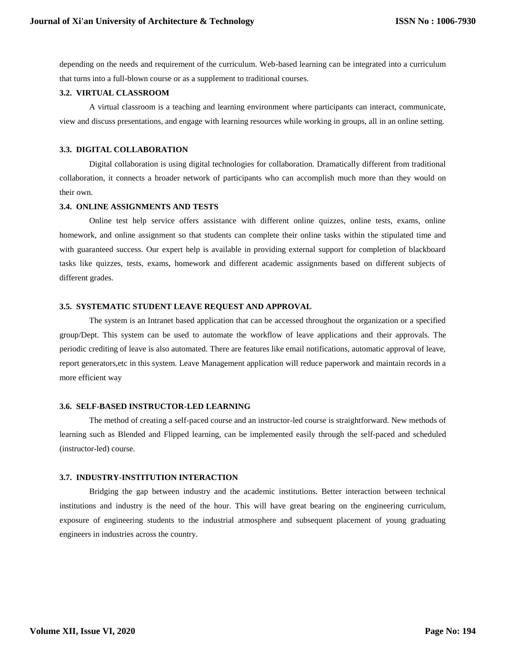depending on the needs and requirement of the curriculum. Web-based learning can be integrated into a curriculum that turns into a full-blown course or as a supplement to traditional courses.

#### **3.2. VIRTUAL CLASSROOM**

A virtual classroom is a teaching and learning environment where participants can interact, communicate, view and discuss presentations, and engage with learning resources while working in groups, all in an online setting.

## **3.3. DIGITAL COLLABORATION**

Digital collaboration is using digital technologies for collaboration. Dramatically different from traditional collaboration, it connects a broader network of participants who can accomplish much more than they would on their own.

#### **3.4. ONLINE ASSIGNMENTS AND TESTS**

Online test help service offers assistance with different online quizzes, online tests, exams, online homework, and online assignment so that students can complete their online tasks within the stipulated time and with guaranteed success. Our expert help is available in providing external support for completion of blackboard tasks like quizzes, tests, exams, homework and different academic assignments based on different subjects of different grades.

#### **3.5. SYSTEMATIC STUDENT LEAVE REQUEST AND APPROVAL**

The system is an Intranet based application that can be accessed throughout the organization or a specified group/Dept. This system can be used to automate the workflow of leave applications and their approvals. The periodic crediting of leave is also automated. There are features like email notifications, automatic approval of leave, report generators,etc in this system. Leave Management application will reduce paperwork and maintain records in a more efficient way

## **3.6. SELF-BASED INSTRUCTOR-LED LEARNING**

The method of creating a self-paced course and an instructor-led course is straightforward. New methods of learning such as Blended and Flipped learning, can be implemented easily through the self-paced and scheduled (instructor-led) course.

#### **3.7. INDUSTRY-INSTITUTION INTERACTION**

Bridging the gap between industry and the academic institutions. Better interaction between technical institutions and industry is the need of the hour. This will have great bearing on the engineering curriculum, exposure of engineering students to the industrial atmosphere and subsequent placement of young graduating engineers in industries across the country.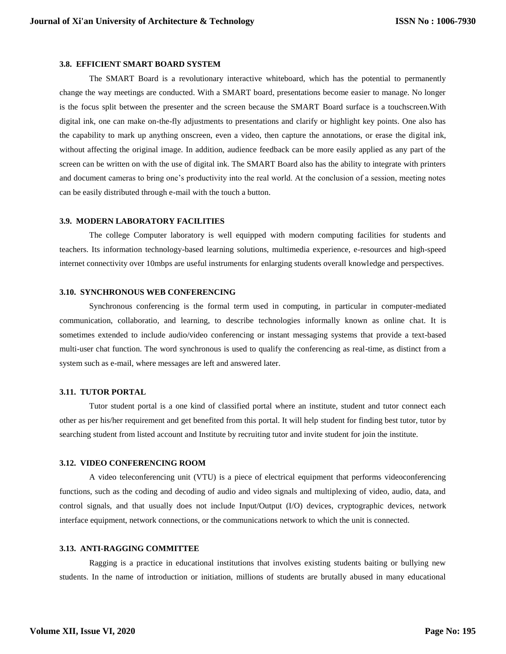#### **3.8. EFFICIENT SMART BOARD SYSTEM**

The SMART Board is a revolutionary interactive whiteboard, which has the potential to permanently change the way meetings are conducted. With a SMART board, presentations become easier to manage. No longer is the focus split between the presenter and the screen because the SMART Board surface is a touchscreen.With digital ink, one can make on-the-fly adjustments to presentations and clarify or highlight key points. One also has the capability to mark up anything onscreen, even a video, then capture the annotations, or erase the digital ink, without affecting the original image. In addition, audience feedback can be more easily applied as any part of the screen can be written on with the use of digital ink. The SMART Board also has the ability to integrate with printers and document cameras to bring one's productivity into the real world. At the conclusion of a session, meeting notes can be easily distributed through e-mail with the touch a button.

#### **3.9. MODERN LABORATORY FACILITIES**

The college Computer laboratory is well equipped with modern computing facilities for students and teachers. Its information technology-based learning solutions, multimedia experience, e-resources and high-speed internet connectivity over 10mbps are useful instruments for enlarging students overall knowledge and perspectives.

#### **3.10. SYNCHRONOUS WEB CONFERENCING**

Synchronous conferencing is the formal term used in computing, in particular in computer-mediated communication, collaboratio, and learning, to describe technologies informally known as online chat. It is sometimes extended to include audio/video conferencing or instant messaging systems that provide a text-based multi-user chat function. The word synchronous is used to qualify the conferencing as real-time, as distinct from a system such as e-mail, where messages are left and answered later.

#### **3.11. TUTOR PORTAL**

Tutor student portal is a one kind of classified portal where an institute, student and tutor connect each other as per his/her requirement and get benefited from this portal. It will help student for finding best tutor, tutor by searching student from listed account and Institute by recruiting tutor and invite student for join the institute.

## **3.12. VIDEO CONFERENCING ROOM**

A video teleconferencing unit (VTU) is a piece of electrical equipment that performs videoconferencing functions, such as the coding and decoding of audio and video signals and multiplexing of video, audio, data, and control signals, and that usually does not include Input/Output (I/O) devices, cryptographic devices, network interface equipment, network connections, or the communications network to which the unit is connected.

#### **3.13. ANTI-RAGGING COMMITTEE**

Ragging is a practice in educational institutions that involves existing students baiting or bullying new students. In the name of introduction or initiation, millions of students are brutally abused in many educational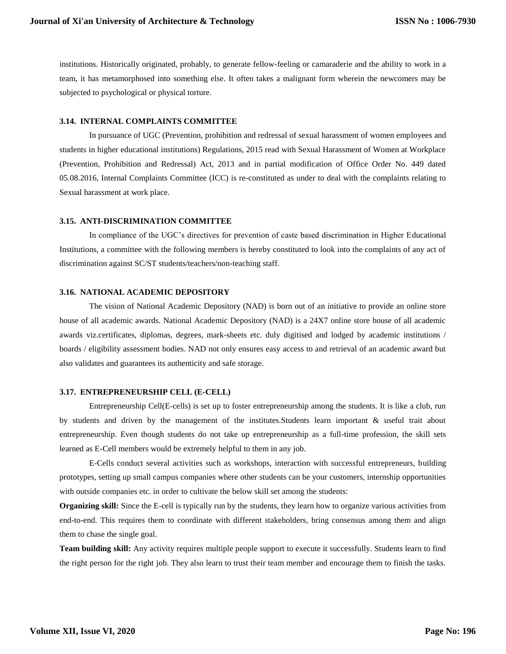institutions. Historically originated, probably, to generate fellow-feeling or camaraderie and the ability to work in a team, it has metamorphosed into something else. It often takes a malignant form wherein the newcomers may be subjected to psychological or physical torture.

#### **3.14. INTERNAL COMPLAINTS COMMITTEE**

In pursuance of UGC (Prevention, prohibition and redressal of sexual harassment of women employees and students in higher educational institutions) Regulations, 2015 read with Sexual Harassment of Women at Workplace (Prevention, Prohibition and Redressal) Act, 2013 and in partial modification of Office Order No. 449 dated 05.08.2016, Internal Complaints Committee (ICC) is re-constituted as under to deal with the complaints relating to Sexual harassment at work place.

#### **3.15. ANTI-DISCRIMINATION COMMITTEE**

In compliance of the UGC's directives for prevention of caste based discrimination in Higher Educational Institutions, a committee with the following members is hereby constituted to look into the complaints of any act of discrimination against SC/ST students/teachers/non-teaching staff.

#### **3.16. NATIONAL ACADEMIC DEPOSITORY**

The vision of National Academic Depository (NAD) is born out of an initiative to provide an online store house of all academic awards. National Academic Depository (NAD) is a 24X7 online store house of all academic awards viz.certificates, diplomas, degrees, mark-sheets etc. duly digitised and lodged by academic institutions / boards / eligibility assessment bodies. NAD not only ensures easy access to and retrieval of an academic award but also validates and guarantees its authenticity and safe storage.

#### **3.17. ENTREPRENEURSHIP CELL (E-CELL)**

Entrepreneurship Cell(E-cells) is set up to foster entrepreneurship among the students. It is like a club, run by students and driven by the management of the institutes.Students learn important & useful trait about entrepreneurship. Even though students do not take up entrepreneurship as a full-time profession, the skill sets learned as E-Cell members would be extremely helpful to them in any job.

E-Cells conduct several activities such as workshops, interaction with successful entrepreneurs, building prototypes, setting up small campus companies where other students can be your customers, internship opportunities with outside companies etc. in order to cultivate the below skill set among the students:

**Organizing skill:** Since the E-cell is typically run by the students, they learn how to organize various activities from end-to-end. This requires them to coordinate with different stakeholders, bring consensus among them and align them to chase the single goal.

**Team building skill:** Any activity requires multiple people support to execute it successfully. Students learn to find the right person for the right job. They also learn to trust their team member and encourage them to finish the tasks.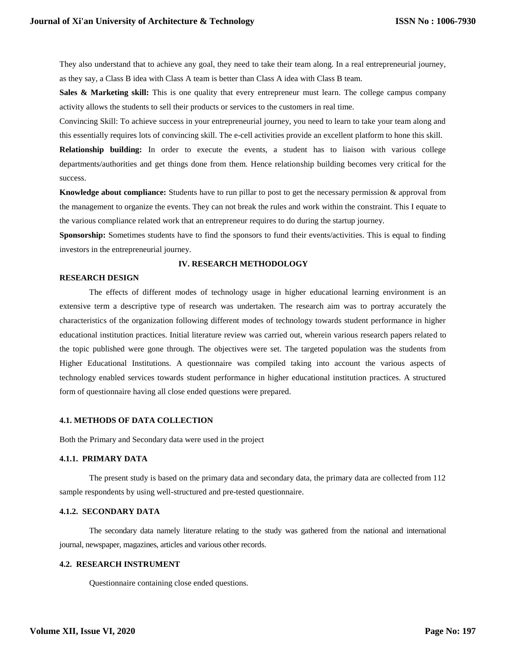They also understand that to achieve any goal, they need to take their team along. In a real entrepreneurial journey, as they say, a Class B idea with Class A team is better than Class A idea with Class B team.

**Sales & Marketing skill:** This is one quality that every entrepreneur must learn. The college campus company activity allows the students to sell their products or services to the customers in real time.

Convincing Skill: To achieve success in your entrepreneurial journey, you need to learn to take your team along and this essentially requires lots of convincing skill. The e-cell activities provide an excellent platform to hone this skill.

**Relationship building:** In order to execute the events, a student has to liaison with various college departments/authorities and get things done from them. Hence relationship building becomes very critical for the success.

**Knowledge about compliance:** Students have to run pillar to post to get the necessary permission & approval from the management to organize the events. They can not break the rules and work within the constraint. This I equate to the various compliance related work that an entrepreneur requires to do during the startup journey.

**Sponsorship:** Sometimes students have to find the sponsors to fund their events/activities. This is equal to finding investors in the entrepreneurial journey.

#### **IV. RESEARCH METHODOLOGY**

## **RESEARCH DESIGN**

The effects of different modes of technology usage in higher educational learning environment is an extensive term a descriptive type of research was undertaken. The research aim was to portray accurately the characteristics of the organization following different modes of technology towards student performance in higher educational institution practices. Initial literature review was carried out, wherein various research papers related to the topic published were gone through. The objectives were set. The targeted population was the students from Higher Educational Institutions. A questionnaire was compiled taking into account the various aspects of technology enabled services towards student performance in higher educational institution practices. A structured form of questionnaire having all close ended questions were prepared.

### **4.1. METHODS OF DATA COLLECTION**

Both the Primary and Secondary data were used in the project

# **4.1.1. PRIMARY DATA**

The present study is based on the primary data and secondary data, the primary data are collected from 112 sample respondents by using well-structured and pre-tested questionnaire.

# **4.1.2. SECONDARY DATA**

The secondary data namely literature relating to the study was gathered from the national and international journal, newspaper, magazines, articles and various other records.

# **4.2. RESEARCH INSTRUMENT**

Questionnaire containing close ended questions.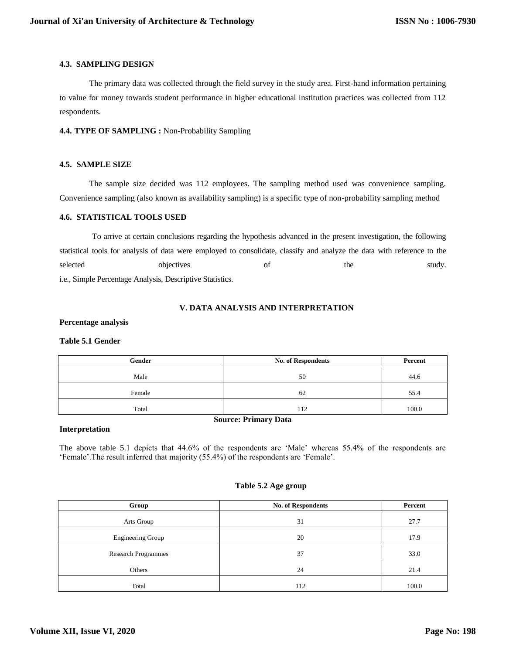# **4.3. SAMPLING DESIGN**

The primary data was collected through the field survey in the study area. First-hand information pertaining to value for money towards student performance in higher educational institution practices was collected from 112 respondents.

# **4.4. TYPE OF SAMPLING :** Non-Probability Sampling

# **4.5. SAMPLE SIZE**

The sample size decided was 112 employees. The sampling method used was convenience sampling. Convenience sampling (also known as availability sampling) is a specific type of non-probability sampling method

## **4.6. STATISTICAL TOOLS USED**

To arrive at certain conclusions regarding the hypothesis advanced in the present investigation, the following statistical tools for analysis of data were employed to consolidate, classify and analyze the data with reference to the selected objectives of the study. i.e., Simple Percentage Analysis, Descriptive Statistics.

# **V. DATA ANALYSIS AND INTERPRETATION**

## **Percentage analysis**

## **Table 5.1 Gender**

| Gender | <b>No. of Respondents</b> | Percent |
|--------|---------------------------|---------|
| Male   | 50                        | 44.6    |
| Female | 62                        | 55.4    |
| Total  | 112                       | 100.0   |

# **Source: Primary Data**

## **Interpretation**

The above table 5.1 depicts that 44.6% of the respondents are 'Male' whereas 55.4% of the respondents are 'Female'.The result inferred that majority (55.4%) of the respondents are 'Female'.

# **Table 5.2 Age group**

| Group                      | No. of Respondents | Percent |
|----------------------------|--------------------|---------|
| Arts Group                 | 31                 | 27.7    |
| <b>Engineering Group</b>   | 20                 | 17.9    |
| <b>Research Programmes</b> | 37                 | 33.0    |
| Others                     | 24                 | 21.4    |
| Total                      | 112                | 100.0   |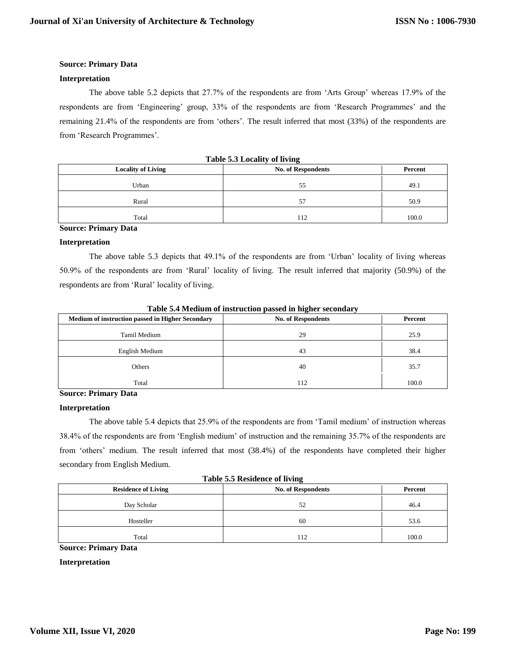## **Interpretation**

The above table 5.2 depicts that 27.7% of the respondents are from 'Arts Group' whereas 17.9% of the respondents are from 'Engineering' group, 33% of the respondents are from 'Research Programmes' and the remaining 21.4% of the respondents are from 'others'. The result inferred that most (33%) of the respondents are from 'Research Programmes'.

| <b>Locality of Living</b> | -<br><b>No. of Respondents</b> | Percent |
|---------------------------|--------------------------------|---------|
| Urban                     | 55                             | 49.1    |
| Rural                     | 57                             | 50.9    |
| Total                     | 112                            | 100.0   |

**Table 5.3 Locality of living**

## **Source: Primary Data**

## **Interpretation**

The above table 5.3 depicts that 49.1% of the respondents are from 'Urban' locality of living whereas 50.9% of the respondents are from 'Rural' locality of living. The result inferred that majority (50.9%) of the respondents are from 'Rural' locality of living.

| Medium of instruction passed in Higher Secondary | Table 5.4 Medium of histruction passed in higher secondary<br><b>No. of Respondents</b> | Percent |
|--------------------------------------------------|-----------------------------------------------------------------------------------------|---------|
|                                                  |                                                                                         |         |
| Tamil Medium                                     | 29                                                                                      | 25.9    |
| English Medium                                   | 43                                                                                      | 38.4    |
| Others                                           | 40                                                                                      | 35.7    |
| Total                                            | 112                                                                                     | 100.0   |

**Table 5.4 Medium of instruction passed in higher secondary**

# **Source: Primary Data**

# **Interpretation**

The above table 5.4 depicts that 25.9% of the respondents are from 'Tamil medium' of instruction whereas 38.4% of the respondents are from 'English medium' of instruction and the remaining 35.7% of the respondents are from 'others' medium. The result inferred that most (38.4%) of the respondents have completed their higher secondary from English Medium.

| Table 5.5 Residence of living                           |     |         |  |  |
|---------------------------------------------------------|-----|---------|--|--|
| <b>No. of Respondents</b><br><b>Residence of Living</b> |     | Percent |  |  |
| Day Scholar                                             | 52  | 46.4    |  |  |
| Hosteller                                               | 60  | 53.6    |  |  |
| Total                                                   | 112 | 100.0   |  |  |

## **Source: Primary Data**

## **Interpretation**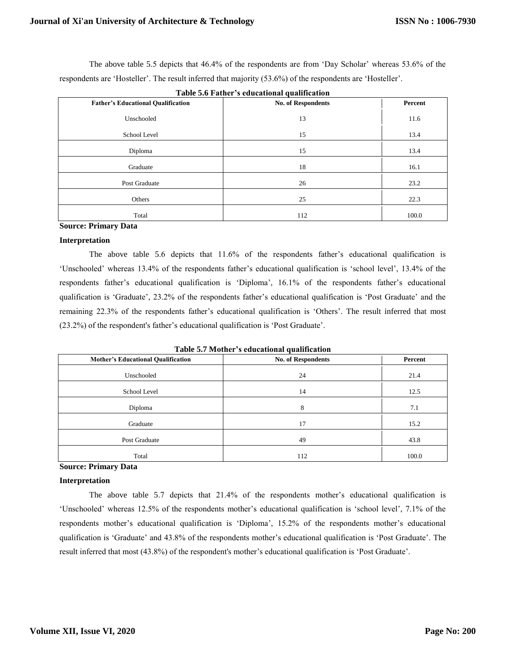The above table 5.5 depicts that 46.4% of the respondents are from 'Day Scholar' whereas 53.6% of the respondents are 'Hosteller'. The result inferred that majority (53.6%) of the respondents are 'Hosteller'.

| Table 5.0 Pather S culturational quantitation |                           |         |  |  |
|-----------------------------------------------|---------------------------|---------|--|--|
| <b>Father's Educational Qualification</b>     | <b>No. of Respondents</b> | Percent |  |  |
| Unschooled                                    | 13                        | 11.6    |  |  |
| School Level                                  | 15                        | 13.4    |  |  |
| Diploma                                       | 15                        | 13.4    |  |  |
| Graduate                                      | 18                        | 16.1    |  |  |
| Post Graduate                                 | 26                        | 23.2    |  |  |
| Others                                        | 25                        | 22.3    |  |  |
| Total                                         | 112                       | 100.0   |  |  |

**Table 5.6 Father's educational qualification**

## **Source: Primary Data**

## **Interpretation**

The above table 5.6 depicts that 11.6% of the respondents father's educational qualification is 'Unschooled' whereas 13.4% of the respondents father's educational qualification is 'school level', 13.4% of the respondents father's educational qualification is 'Diploma', 16.1% of the respondents father's educational qualification is 'Graduate', 23.2% of the respondents father's educational qualification is 'Post Graduate' and the remaining 22.3% of the respondents father's educational qualification is 'Others'. The result inferred that most (23.2%) of the respondent's father's educational qualification is 'Post Graduate'.

**Table 5.7 Mother's educational qualification**

| <b>Mother's Educational Qualification</b> | <b>No. of Respondents</b> | Percent |
|-------------------------------------------|---------------------------|---------|
| Unschooled                                | 24                        | 21.4    |
| School Level                              | 14                        | 12.5    |
| Diploma                                   | 8                         | 7.1     |
| Graduate                                  | 17                        | 15.2    |
| Post Graduate                             | 49                        | 43.8    |
| Total                                     | 112                       | 100.0   |

## **Source: Primary Data**

# **Interpretation**

The above table 5.7 depicts that 21.4% of the respondents mother's educational qualification is 'Unschooled' whereas 12.5% of the respondents mother's educational qualification is 'school level', 7.1% of the respondents mother's educational qualification is 'Diploma', 15.2% of the respondents mother's educational qualification is 'Graduate' and 43.8% of the respondents mother's educational qualification is 'Post Graduate'. The result inferred that most (43.8%) of the respondent's mother's educational qualification is 'Post Graduate'.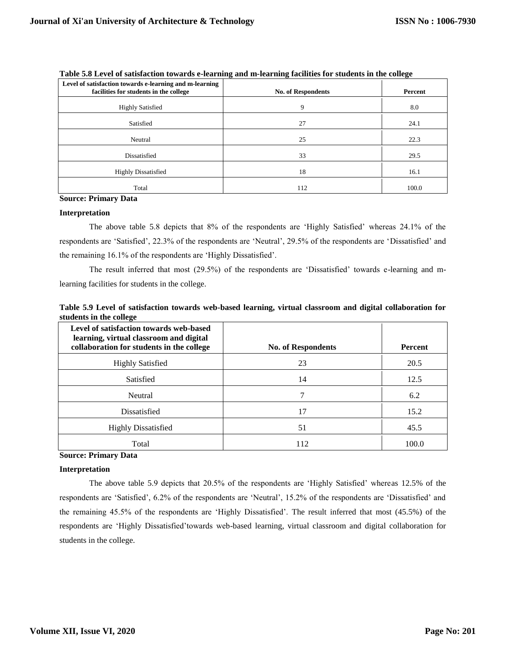| Level of satisfaction towards e-learning and m-learning<br>facilities for students in the college | <b>No. of Respondents</b> | Percent |
|---------------------------------------------------------------------------------------------------|---------------------------|---------|
| <b>Highly Satisfied</b>                                                                           | 9                         | 8.0     |
| Satisfied                                                                                         | 27                        | 24.1    |
| Neutral                                                                                           | 25                        | 22.3    |
| Dissatisfied                                                                                      | 33                        | 29.5    |
| <b>Highly Dissatisfied</b>                                                                        | 18                        | 16.1    |
| Total                                                                                             | 112                       | 100.0   |

**Table 5.8 Level of satisfaction towards e-learning and m-learning facilities for students in the college** 

## **Interpretation**

The above table 5.8 depicts that 8% of the respondents are 'Highly Satisfied' whereas 24.1% of the respondents are 'Satisfied', 22.3% of the respondents are 'Neutral', 29.5% of the respondents are 'Dissatisfied' and the remaining 16.1% of the respondents are 'Highly Dissatisfied'.

The result inferred that most (29.5%) of the respondents are 'Dissatisfied' towards e-learning and mlearning facilities for students in the college.

| Table 5.9 Level of satisfaction towards web-based learning, virtual classroom and digital collaboration for |  |  |  |  |  |
|-------------------------------------------------------------------------------------------------------------|--|--|--|--|--|
| students in the college                                                                                     |  |  |  |  |  |

| Level of satisfaction towards web-based<br>learning, virtual classroom and digital<br>collaboration for students in the college | <b>No. of Respondents</b> | <b>Percent</b> |
|---------------------------------------------------------------------------------------------------------------------------------|---------------------------|----------------|
| <b>Highly Satisfied</b>                                                                                                         | 23                        | 20.5           |
| Satisfied                                                                                                                       | 14                        | 12.5           |
| Neutral                                                                                                                         |                           | 6.2            |
| Dissatisfied                                                                                                                    | 17                        | 15.2           |
| <b>Highly Dissatisfied</b>                                                                                                      | 51                        | 45.5           |
| Total                                                                                                                           | 112                       | 100.0          |

# **Source: Primary Data**

## **Interpretation**

The above table 5.9 depicts that 20.5% of the respondents are 'Highly Satisfied' whereas 12.5% of the respondents are 'Satisfied', 6.2% of the respondents are 'Neutral', 15.2% of the respondents are 'Dissatisfied' and the remaining 45.5% of the respondents are 'Highly Dissatisfied'. The result inferred that most (45.5%) of the respondents are 'Highly Dissatisfied'towards web-based learning, virtual classroom and digital collaboration for students in the college.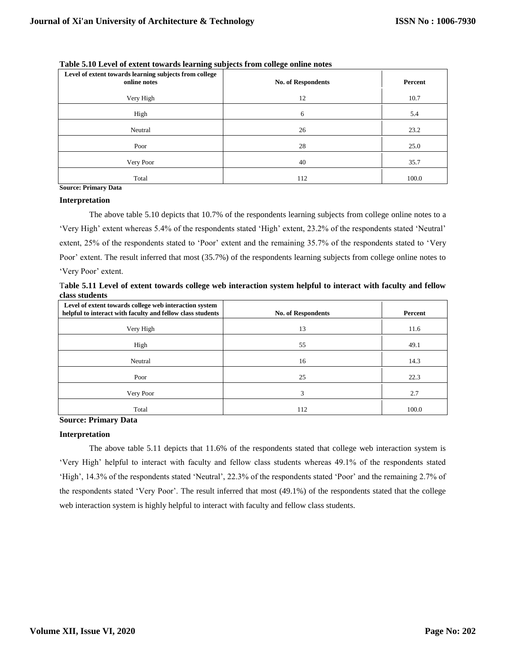| Level of extent towards learning subjects from college<br>online notes | <b>No. of Respondents</b> | Percent |
|------------------------------------------------------------------------|---------------------------|---------|
| Very High                                                              | 12                        | 10.7    |
| High                                                                   | 6                         | 5.4     |
| Neutral                                                                | 26                        | 23.2    |
| Poor                                                                   | 28                        | 25.0    |
| Very Poor                                                              | 40                        | 35.7    |
| Total                                                                  | 112                       | 100.0   |

**Table 5.10 Level of extent towards learning subjects from college online notes**

#### **Interpretation**

The above table 5.10 depicts that 10.7% of the respondents learning subjects from college online notes to a 'Very High' extent whereas 5.4% of the respondents stated 'High' extent, 23.2% of the respondents stated 'Neutral' extent, 25% of the respondents stated to 'Poor' extent and the remaining 35.7% of the respondents stated to 'Very Poor' extent. The result inferred that most (35.7%) of the respondents learning subjects from college online notes to 'Very Poor' extent.

T**able 5.11 Level of extent towards college web interaction system helpful to interact with faculty and fellow class students**

| Level of extent towards college web interaction system<br>helpful to interact with faculty and fellow class students | <b>No. of Respondents</b> | Percent |
|----------------------------------------------------------------------------------------------------------------------|---------------------------|---------|
| Very High                                                                                                            | 13                        | 11.6    |
| High                                                                                                                 | 55                        | 49.1    |
| Neutral                                                                                                              | 16                        | 14.3    |
| Poor                                                                                                                 | 25                        | 22.3    |
| Very Poor                                                                                                            | 3                         | 2.7     |
| Total                                                                                                                | 112                       | 100.0   |

**Source: Primary Data**

#### **Interpretation**

The above table 5.11 depicts that 11.6% of the respondents stated that college web interaction system is 'Very High' helpful to interact with faculty and fellow class students whereas 49.1% of the respondents stated 'High', 14.3% of the respondents stated 'Neutral', 22.3% of the respondents stated 'Poor' and the remaining 2.7% of the respondents stated 'Very Poor'. The result inferred that most (49.1%) of the respondents stated that the college web interaction system is highly helpful to interact with faculty and fellow class students.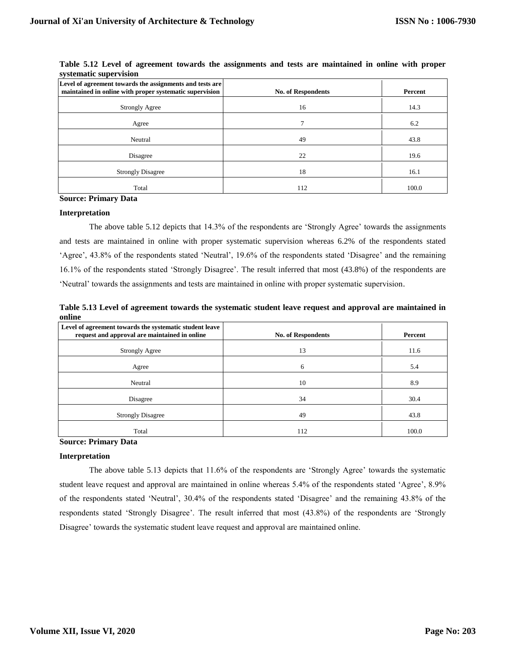| Level of agreement towards the assignments and tests are<br>maintained in online with proper systematic supervision | <b>No. of Respondents</b> | Percent |
|---------------------------------------------------------------------------------------------------------------------|---------------------------|---------|
| <b>Strongly Agree</b>                                                                                               | 16                        | 14.3    |
| Agree                                                                                                               |                           | 6.2     |
| Neutral                                                                                                             | 49                        | 43.8    |
| Disagree                                                                                                            | 22                        | 19.6    |
| <b>Strongly Disagree</b>                                                                                            | 18                        | 16.1    |
| Total                                                                                                               | 112                       | 100.0   |

**Table 5.12 Level of agreement towards the assignments and tests are maintained in online with proper systematic supervision**

#### **Interpretation**

The above table 5.12 depicts that 14.3% of the respondents are 'Strongly Agree' towards the assignments and tests are maintained in online with proper systematic supervision whereas 6.2% of the respondents stated 'Agree', 43.8% of the respondents stated 'Neutral', 19.6% of the respondents stated 'Disagree' and the remaining 16.1% of the respondents stated 'Strongly Disagree'. The result inferred that most (43.8%) of the respondents are 'Neutral' towards the assignments and tests are maintained in online with proper systematic supervision.

**Table 5.13 Level of agreement towards the systematic student leave request and approval are maintained in online**

| Level of agreement towards the systematic student leave<br>request and approval are maintained in online | <b>No. of Respondents</b> | Percent |
|----------------------------------------------------------------------------------------------------------|---------------------------|---------|
| <b>Strongly Agree</b>                                                                                    | 13                        | 11.6    |
| Agree                                                                                                    | 6                         | 5.4     |
| Neutral                                                                                                  | 10                        | 8.9     |
| Disagree                                                                                                 | 34                        | 30.4    |
| <b>Strongly Disagree</b>                                                                                 | 49                        | 43.8    |
| Total                                                                                                    | 112                       | 100.0   |

## **Source: Primary Data**

#### **Interpretation**

The above table 5.13 depicts that 11.6% of the respondents are 'Strongly Agree' towards the systematic student leave request and approval are maintained in online whereas 5.4% of the respondents stated 'Agree', 8.9% of the respondents stated 'Neutral', 30.4% of the respondents stated 'Disagree' and the remaining 43.8% of the respondents stated 'Strongly Disagree'. The result inferred that most (43.8%) of the respondents are 'Strongly Disagree' towards the systematic student leave request and approval are maintained online.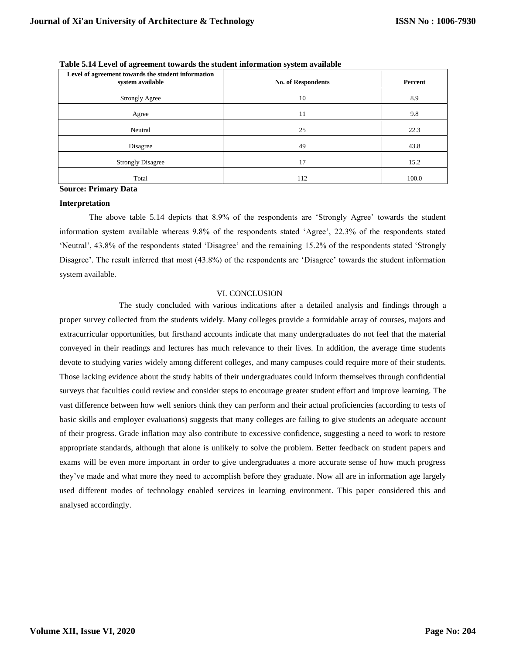| Level of agreement towards the student information<br>system available | <b>No. of Respondents</b> | Percent |
|------------------------------------------------------------------------|---------------------------|---------|
| <b>Strongly Agree</b>                                                  | 10                        | 8.9     |
| Agree                                                                  | 11                        | 9.8     |
| Neutral                                                                | 25                        | 22.3    |
| Disagree                                                               | 49                        | 43.8    |
| <b>Strongly Disagree</b>                                               | 17                        | 15.2    |
| Total                                                                  | 112                       | 100.0   |

**Table 5.14 Level of agreement towards the student information system available** 

#### **Interpretation**

The above table 5.14 depicts that 8.9% of the respondents are 'Strongly Agree' towards the student information system available whereas 9.8% of the respondents stated 'Agree', 22.3% of the respondents stated 'Neutral', 43.8% of the respondents stated 'Disagree' and the remaining 15.2% of the respondents stated 'Strongly Disagree'. The result inferred that most (43.8%) of the respondents are 'Disagree' towards the student information system available.

#### VI. CONCLUSION

The study concluded with various indications after a detailed analysis and findings through a proper survey collected from the students widely. Many colleges provide a formidable array of courses, majors and extracurricular opportunities, but firsthand accounts indicate that many undergraduates do not feel that the material conveyed in their readings and lectures has much relevance to their lives. In addition, the average time students devote to studying varies widely among different colleges, and many campuses could require more of their students. Those lacking evidence about the study habits of their undergraduates could inform themselves through confidential surveys that faculties could review and consider steps to encourage greater student effort and improve learning. The vast difference between how well seniors think they can perform and their actual proficiencies (according to tests of basic skills and employer evaluations) suggests that many colleges are failing to give students an adequate account of their progress. Grade inflation may also contribute to excessive confidence, suggesting a need to work to restore appropriate standards, although that alone is unlikely to solve the problem. Better feedback on student papers and exams will be even more important in order to give undergraduates a more accurate sense of how much progress they've made and what more they need to accomplish before they graduate. Now all are in information age largely used different modes of technology enabled services in learning environment. This paper considered this and analysed accordingly.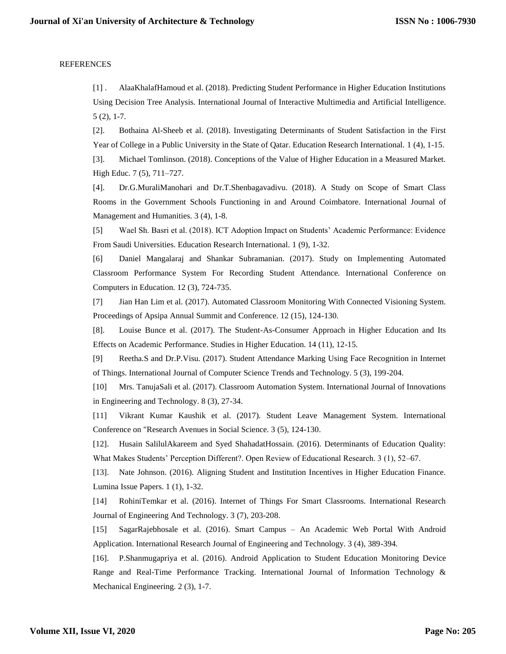# **REFERENCES**

[1] . AlaaKhalafHamoud et al. (2018). Predicting Student Performance in Higher Education Institutions Using Decision Tree Analysis. International Journal of Interactive Multimedia and Artificial Intelligence. 5 (2), 1-7.

[2]. Bothaina Al-Sheeb et al. (2018). Investigating Determinants of Student Satisfaction in the First Year of College in a Public University in the State of Qatar. Education Research International. 1 (4), 1-15.

[3]. Michael Tomlinson. (2018). Conceptions of the Value of Higher Education in a Measured Market. High Educ. 7 (5), 711–727.

[4]. Dr.G.MuraliManohari and Dr.T.Shenbagavadivu. (2018). A Study on Scope of Smart Class Rooms in the Government Schools Functioning in and Around Coimbatore. International Journal of Management and Humanities. 3 (4), 1-8.

[5] Wael Sh. Basri et al. (2018). ICT Adoption Impact on Students' Academic Performance: Evidence From Saudi Universities. Education Research International. 1 (9), 1-32.

[6] Daniel Mangalaraj and Shankar Subramanian. (2017). Study on Implementing Automated Classroom Performance System For Recording Student Attendance. International Conference on Computers in Education. 12 (3), 724-735.

[7] Jian Han Lim et al. (2017). Automated Classroom Monitoring With Connected Visioning System. Proceedings of Apsipa Annual Summit and Conference. 12 (15), 124-130.

[8]. Louise Bunce et al. (2017). The Student-As-Consumer Approach in Higher Education and Its Effects on Academic Performance. Studies in Higher Education. 14 (11), 12-15.

[9] Reetha.S and Dr.P.Visu. (2017). Student Attendance Marking Using Face Recognition in Internet of Things. International Journal of Computer Science Trends and Technology. 5 (3), 199-204.

[10] Mrs. TanujaSali et al. (2017). Classroom Automation System. International Journal of Innovations in Engineering and Technology. 8 (3), 27-34.

[11] Vikrant Kumar Kaushik et al. (2017). Student Leave Management System. International Conference on "Research Avenues in Social Science. 3 (5), 124-130.

[12]. Husain SalilulAkareem and Syed ShahadatHossain. (2016). Determinants of Education Quality: What Makes Students' Perception Different?. Open Review of Educational Research. 3 (1), 52–67.

[13]. Nate Johnson. (2016). Aligning Student and Institution Incentives in Higher Education Finance. Lumina Issue Papers. 1 (1), 1-32.

[14] RohiniTemkar et al. (2016). Internet of Things For Smart Classrooms. International Research Journal of Engineering And Technology. 3 (7), 203-208.

[15] SagarRajebhosale et al. (2016). Smart Campus – An Academic Web Portal With Android Application. International Research Journal of Engineering and Technology. 3 (4), 389-394.

[16]. P.Shanmugapriya et al. (2016). Android Application to Student Education Monitoring Device Range and Real-Time Performance Tracking. International Journal of Information Technology & Mechanical Engineering. 2 (3), 1-7.